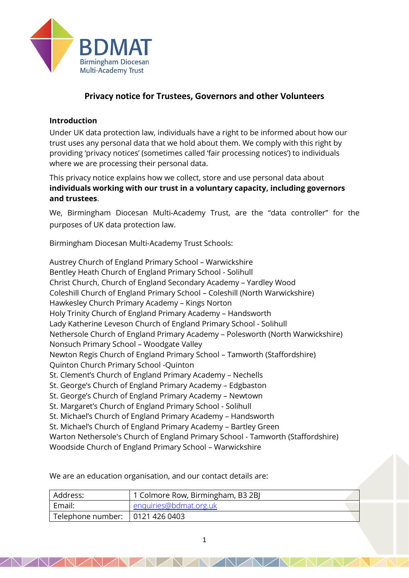

# **Privacy notice for Trustees, Governors and other Volunteers**

#### **Introduction**

Under UK data protection law, individuals have a right to be informed about how our trust uses any personal data that we hold about them. We comply with this right by providing 'privacy notices' (sometimes called 'fair processing notices') to individuals where we are processing their personal data.

This privacy notice explains how we collect, store and use personal data about **individuals working with our trust in a voluntary capacity, including governors and trustees**.

We, Birmingham Diocesan Multi-Academy Trust, are the "data controller" for the purposes of UK data protection law.

Birmingham Diocesan Multi-Academy Trust Schools:

Austrey Church of England Primary School – Warwickshire Bentley Heath Church of England Primary School - Solihull Christ Church, Church of England Secondary Academy – Yardley Wood Coleshill Church of England Primary School – Coleshill (North Warwickshire) Hawkesley Church Primary Academy – Kings Norton Holy Trinity Church of England Primary Academy – Handsworth Lady Katherine Leveson Church of England Primary School - Solihull Nethersole Church of England Primary Academy – Polesworth (North Warwickshire) Nonsuch Primary School – Woodgate Valley Newton Regis Church of England Primary School – Tamworth (Staffordshire) Quinton Church Primary School -Quinton St. Clement's Church of England Primary Academy – Nechells St. George's Church of England Primary Academy – Edgbaston St. George's Church of England Primary Academy – Newtown St. Margaret's Church of England Primary School - Solihull St. Michael's Church of England Primary Academy – Handsworth St. Michael's Church of England Primary Academy – Bartley Green Warton Nethersole's Church of England Primary School - Tamworth (Staffordshire) Woodside Church of England Primary School – Warwickshire

We are an education organisation, and our contact details are:

| Address:                          | 1 Colmore Row, Birmingham, B3 2BJ |
|-----------------------------------|-----------------------------------|
| Email:                            | enquiries@bdmat.org.uk            |
| Telephone number:   0121 426 0403 |                                   |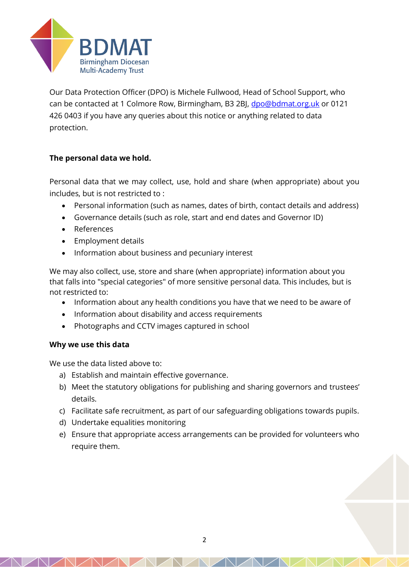

Our Data Protection Officer (DPO) is Michele Fullwood, Head of School Support, who can be contacted at 1 Colmore Row, Birmingham, B3 2BJ, [dpo@bdmat.org.uk](mailto:dpo@bdmat.org.uk) or 0121 426 0403 if you have any queries about this notice or anything related to data protection.

# **The personal data we hold.**

Personal data that we may collect, use, hold and share (when appropriate) about you includes, but is not restricted to :

- Personal information (such as names, dates of birth, contact details and address)
- Governance details (such as role, start and end dates and Governor ID)
- References
- Employment details
- Information about business and pecuniary interest

We may also collect, use, store and share (when appropriate) information about you that falls into "special categories" of more sensitive personal data. This includes, but is not restricted to:

- Information about any health conditions you have that we need to be aware of
- Information about disability and access requirements
- Photographs and CCTV images captured in school

# **Why we use this data**

We use the data listed above to:

- a) Establish and maintain effective governance.
- b) Meet the statutory obligations for publishing and sharing governors and trustees' details.
- c) Facilitate safe recruitment, as part of our safeguarding obligations towards pupils.
- d) Undertake equalities monitoring
- e) Ensure that appropriate access arrangements can be provided for volunteers who require them.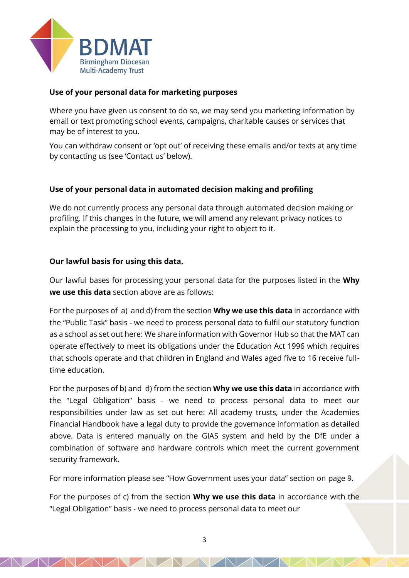

## **Use of your personal data for marketing purposes**

Where you have given us consent to do so, we may send you marketing information by email or text promoting school events, campaigns, charitable causes or services that may be of interest to you.

You can withdraw consent or 'opt out' of receiving these emails and/or texts at any time by contacting us (see 'Contact us' below).

## **Use of your personal data in automated decision making and profiling**

We do not currently process any personal data through automated decision making or profiling. If this changes in the future, we will amend any relevant privacy notices to explain the processing to you, including your right to object to it.

### **Our lawful basis for using this data.**

Our lawful bases for processing your personal data for the purposes listed in the **Why we use this data** section above are as follows:

For the purposes of a) and d) from the section **Why we use this data** in accordance with the "Public Task" basis - we need to process personal data to fulfil our statutory function as a school as set out here: We share information with Governor Hub so that the MAT can operate effectively to meet its obligations under the Education Act 1996 which requires that schools operate and that children in England and Wales aged five to 16 receive fulltime education.

For the purposes of b) and d) from the section **Why we use this data** in accordance with the "Legal Obligation" basis - we need to process personal data to meet our responsibilities under law as set out here: All academy trusts, under the Academies Financial Handbook have a legal duty to provide the governance information as detailed above. Data is entered manually on the GIAS system and held by the DfE under a combination of software and hardware controls which meet the current government security framework.

For more information please see "How Government uses your data" section on page 9.

For the purposes of c) from the section **Why we use this data** in accordance with the "Legal Obligation" basis - we need to process personal data to meet our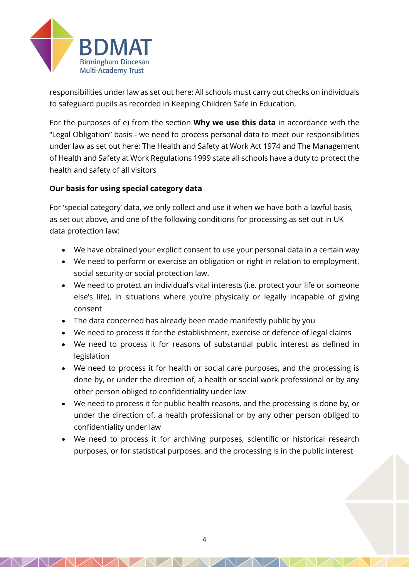

responsibilities under law as set out here: All schools must carry out checks on individuals to safeguard pupils as recorded in Keeping Children Safe in Education.

For the purposes of e) from the section **Why we use this data** in accordance with the "Legal Obligation" basis - we need to process personal data to meet our responsibilities under law as set out here: The Health and Safety at Work Act 1974 and The Management of Health and Safety at Work Regulations 1999 state all schools have a duty to protect the health and safety of all visitors

# **Our basis for using special category data**

For 'special category' data, we only collect and use it when we have both a lawful basis, as set out above, and one of the following conditions for processing as set out in UK data protection law:

- We have obtained your explicit consent to use your personal data in a certain way
- We need to perform or exercise an obligation or right in relation to employment, social security or social protection law.
- We need to protect an individual's vital interests (i.e. protect your life or someone else's life), in situations where you're physically or legally incapable of giving consent
- The data concerned has already been made manifestly public by you
- We need to process it for the establishment, exercise or defence of legal claims
- We need to process it for reasons of substantial public interest as defined in legislation
- We need to process it for health or social care purposes, and the processing is done by, or under the direction of, a health or social work professional or by any other person obliged to confidentiality under law
- We need to process it for public health reasons, and the processing is done by, or under the direction of, a health professional or by any other person obliged to confidentiality under law
- We need to process it for archiving purposes, scientific or historical research purposes, or for statistical purposes, and the processing is in the public interest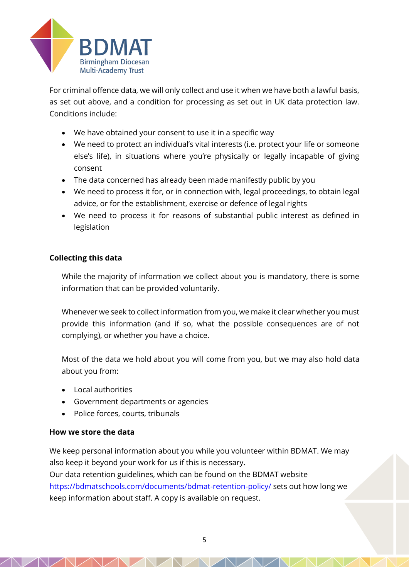

For criminal offence data, we will only collect and use it when we have both a lawful basis, as set out above, and a condition for processing as set out in UK data protection law. Conditions include:

- We have obtained your consent to use it in a specific way
- We need to protect an individual's vital interests (i.e. protect your life or someone else's life), in situations where you're physically or legally incapable of giving consent
- The data concerned has already been made manifestly public by you
- We need to process it for, or in connection with, legal proceedings, to obtain legal advice, or for the establishment, exercise or defence of legal rights
- We need to process it for reasons of substantial public interest as defined in legislation

### **Collecting this data**

While the majority of information we collect about you is mandatory, there is some information that can be provided voluntarily.

Whenever we seek to collect information from you, we make it clear whether you must provide this information (and if so, what the possible consequences are of not complying), or whether you have a choice.

Most of the data we hold about you will come from you, but we may also hold data about you from:

- Local authorities
- Government departments or agencies
- Police forces, courts, tribunals

### **How we store the data**

We keep personal information about you while you volunteer within BDMAT. We may also keep it beyond your work for us if this is necessary. Our data retention guidelines, which can be found on the BDMAT website <https://bdmatschools.com/documents/bdmat-retention-policy/> sets out how long we keep information about staff. A copy is available on request.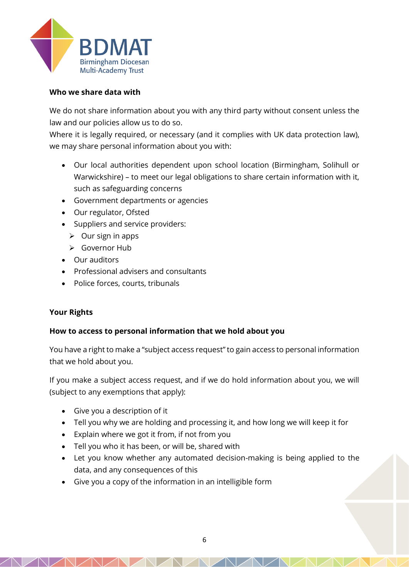

## **Who we share data with**

We do not share information about you with any third party without consent unless the law and our policies allow us to do so.

Where it is legally required, or necessary (and it complies with UK data protection law), we may share personal information about you with:

- Our local authorities dependent upon school location (Birmingham, Solihull or Warwickshire) – to meet our legal obligations to share certain information with it, such as safeguarding concerns
- Government departments or agencies
- Our regulator, Ofsted
- Suppliers and service providers:
	- $\triangleright$  Our sign in apps
	- ➢ Governor Hub
- Our auditors
- Professional advisers and consultants
- Police forces, courts, tribunals

# **Your Rights**

# **How to access to personal information that we hold about you**

You have a right to make a "subject access request" to gain access to personal information that we hold about you.

If you make a subject access request, and if we do hold information about you, we will (subject to any exemptions that apply):

- Give you a description of it
- Tell you why we are holding and processing it, and how long we will keep it for
- Explain where we got it from, if not from you
- Tell you who it has been, or will be, shared with
- Let you know whether any automated decision-making is being applied to the data, and any consequences of this
- Give you a copy of the information in an intelligible form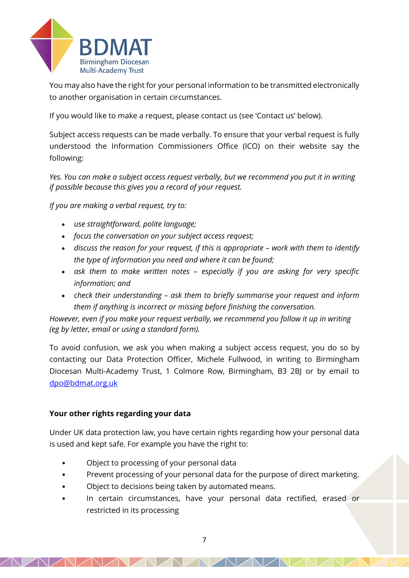

You may also have the right for your personal information to be transmitted electronically to another organisation in certain circumstances.

If you would like to make a request, please contact us (see 'Contact us' below).

Subject access requests can be made verbally. To ensure that your verbal request is fully understood the Information Commissioners Office (ICO) on their website say the following:

*Yes. You can make a subject access request verbally, but we recommend you put it in writing if possible because this gives you a record of your request.*

*If you are making a verbal request, try to:*

- *use straightforward, polite language;*
- *focus the conversation on your subject access request;*
- discuss the reason for your request, if this is appropriate work with them to identify *the type of information you need and where it can be found;*
- *ask them to make written notes – especially if you are asking for very specific information; and*
- *check their understanding – ask them to briefly summarise your request and inform them if anything is incorrect or missing before finishing the conversation.*

*However, even if you make your request verbally, we recommend you follow it up in writing (eg by letter, email or using a standard form).*

To avoid confusion, we ask you when making a subject access request, you do so by contacting our Data Protection Officer, Michele Fullwood, in writing to Birmingham Diocesan Multi-Academy Trust, 1 Colmore Row, Birmingham, B3 2BJ or by email to [dpo@bdmat.org.uk](mailto:dpo@bdmat.org.uk)

### **Your other rights regarding your data**

Under UK data protection law, you have certain rights regarding how your personal data is used and kept safe. For example you have the right to:

- Object to processing of your personal data
- Prevent processing of your personal data for the purpose of direct marketing.
- Object to decisions being taken by automated means.
- In certain circumstances, have your personal data rectified, erased or restricted in its processing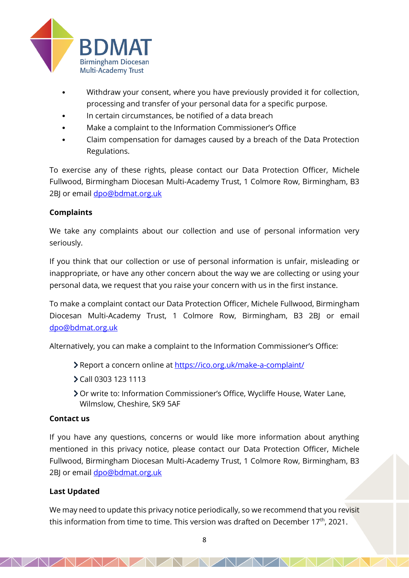

- Withdraw your consent, where you have previously provided it for collection, processing and transfer of your personal data for a specific purpose.
- In certain circumstances, be notified of a data breach
- Make a complaint to the Information Commissioner's Office
- Claim compensation for damages caused by a breach of the Data Protection Regulations.

To exercise any of these rights, please contact our Data Protection Officer, Michele Fullwood, Birmingham Diocesan Multi-Academy Trust, 1 Colmore Row, Birmingham, B3 2BJ or email [dpo@bdmat.org.uk](mailto:dpo@bdmat.org.uk)

# **Complaints**

We take any complaints about our collection and use of personal information very seriously.

If you think that our collection or use of personal information is unfair, misleading or inappropriate, or have any other concern about the way we are collecting or using your personal data, we request that you raise your concern with us in the first instance.

To make a complaint contact our Data Protection Officer, Michele Fullwood, Birmingham Diocesan Multi-Academy Trust, 1 Colmore Row, Birmingham, B3 2BJ or email [dpo@bdmat.org.uk](mailto:dpo@bdmat.org.uk)

Alternatively, you can make a complaint to the Information Commissioner's Office:

- Report a concern online at<https://ico.org.uk/make-a-complaint/>
- Call 0303 123 1113
- Or write to: Information Commissioner's Office, Wycliffe House, Water Lane, Wilmslow, Cheshire, SK9 5AF

### **Contact us**

If you have any questions, concerns or would like more information about anything mentioned in this privacy notice, please contact our Data Protection Officer, Michele Fullwood, Birmingham Diocesan Multi-Academy Trust, 1 Colmore Row, Birmingham, B3 2BJ or email [dpo@bdmat.org.uk](mailto:dpo@bdmat.org.uk)

### **Last Updated**

We may need to update this privacy notice periodically, so we recommend that you revisit this information from time to time. This version was drafted on December 17<sup>th</sup>, 2021.